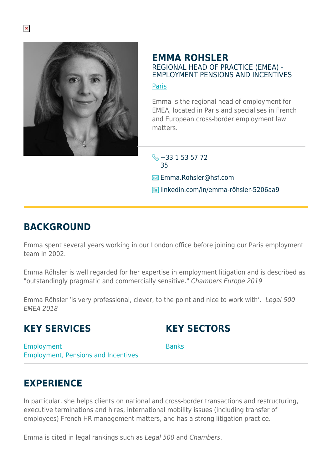

#### **EMMA ROHSLER** REGIONAL HEAD OF PRACTICE (EMEA) - EMPLOYMENT PENSIONS AND INCENTIVES

#### [Paris](https://www.herbertsmithfreehills.com/lang-zh-hans/where-we-work/paris)

Emma is the regional head of employment for EMEA, located in Paris and specialises in French and European cross-border employment law matters.

 $\leftarrow +33$  1 53 57 72 35 **Emma.Rohsler@hsf.com lin** linkedin.com/in/emma-röhsler-5206aa9

# **BACKGROUND**

Emma spent several years working in our London office before joining our Paris employment team in 2002.

Emma Röhsler is well regarded for her expertise in employment litigation and is described as "outstandingly pragmatic and commercially sensitive." Chambers Europe 2019

Emma Röhsler 'is very professional, clever, to the point and nice to work with'. Legal 500 EMEA 2018

# **KEY SERVICES**

# **KEY SECTORS**

Employment Employment, Pensions and Incentives **Banks** 

# **EXPERIENCE**

In particular, she helps clients on national and cross-border transactions and restructuring, executive terminations and hires, international mobility issues (including transfer of employees) French HR management matters, and has a strong litigation practice.

Emma is cited in legal rankings such as Legal 500 and Chambers.